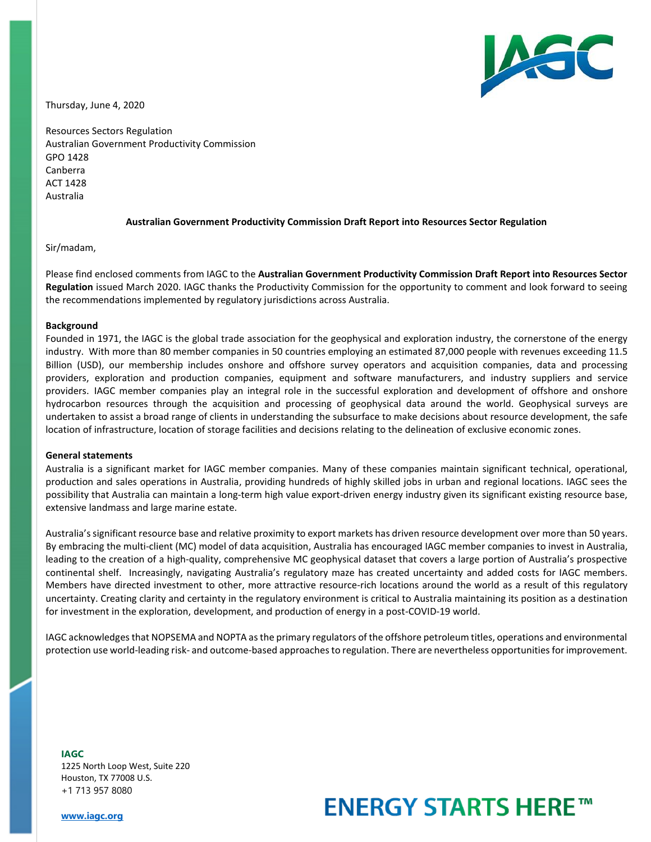

Thursday, June 4, 2020

Resources Sectors Regulation Australian Government Productivity Commission GPO 1428 Canberra ACT 1428 Australia

## **Australian Government Productivity Commission Draft Report into Resources Sector Regulation**

### Sir/madam,

Please find enclosed comments from IAGC to the **Australian Government Productivity Commission Draft Report into Resources Sector Regulation** issued March 2020. IAGC thanks the Productivity Commission for the opportunity to comment and look forward to seeing the recommendations implemented by regulatory jurisdictions across Australia.

#### **Background**

Founded in 1971, the IAGC is the global trade association for the geophysical and exploration industry, the cornerstone of the energy industry. With more than 80 member companies in 50 countries employing an estimated 87,000 people with revenues exceeding 11.5 Billion (USD), our membership includes onshore and offshore survey operators and acquisition companies, data and processing providers, exploration and production companies, equipment and software manufacturers, and industry suppliers and service providers. IAGC member companies play an integral role in the successful exploration and development of offshore and onshore hydrocarbon resources through the acquisition and processing of geophysical data around the world. Geophysical surveys are undertaken to assist a broad range of clients in understanding the subsurface to make decisions about resource development, the safe location of infrastructure, location of storage facilities and decisions relating to the delineation of exclusive economic zones.

### **General statements**

Australia is a significant market for IAGC member companies. Many of these companies maintain significant technical, operational, production and sales operations in Australia, providing hundreds of highly skilled jobs in urban and regional locations. IAGC sees the possibility that Australia can maintain a long-term high value export-driven energy industry given its significant existing resource base, extensive landmass and large marine estate.

Australia's significant resource base and relative proximity to export markets has driven resource development over more than 50 years. By embracing the multi-client (MC) model of data acquisition, Australia has encouraged IAGC member companies to invest in Australia, leading to the creation of a high-quality, comprehensive MC geophysical dataset that covers a large portion of Australia's prospective continental shelf. Increasingly, navigating Australia's regulatory maze has created uncertainty and added costs for IAGC members. Members have directed investment to other, more attractive resource-rich locations around the world as a result of this regulatory uncertainty. Creating clarity and certainty in the regulatory environment is critical to Australia maintaining its position as a destination for investment in the exploration, development, and production of energy in a post-COVID-19 world.

IAGC acknowledges that NOPSEMA and NOPTA as the primary regulators of the offshore petroleum titles, operations and environmental protection use world-leading risk- and outcome-based approaches to regulation. There are nevertheless opportunitiesfor improvement.

**IAGC** 1225 North Loop West, Suite 220 Houston, TX 77008 U.S. +1 713 957 8080

# **ENERGY STARTS HERE™**

**[www.iagc.org](http://www.iagc.org/)**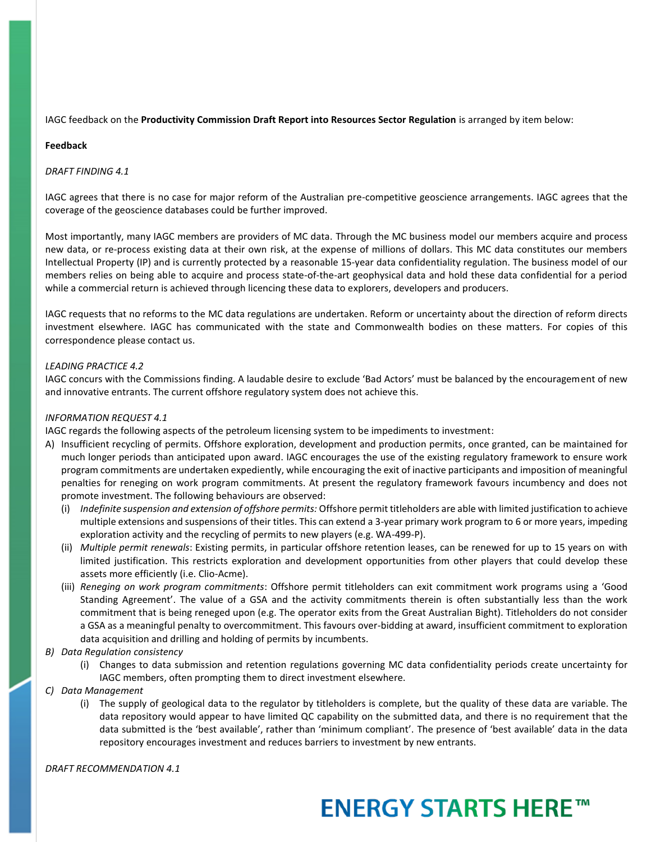IAGC feedback on the **Productivity Commission Draft Report into Resources Sector Regulation** is arranged by item below:

## **Feedback**

## *DRAFT FINDING 4.1*

IAGC agrees that there is no case for major reform of the Australian pre-competitive geoscience arrangements. IAGC agrees that the coverage of the geoscience databases could be further improved.

Most importantly, many IAGC members are providers of MC data. Through the MC business model our members acquire and process new data, or re-process existing data at their own risk, at the expense of millions of dollars. This MC data constitutes our members Intellectual Property (IP) and is currently protected by a reasonable 15-year data confidentiality regulation. The business model of our members relies on being able to acquire and process state-of-the-art geophysical data and hold these data confidential for a period while a commercial return is achieved through licencing these data to explorers, developers and producers.

IAGC requests that no reforms to the MC data regulations are undertaken. Reform or uncertainty about the direction of reform directs investment elsewhere. IAGC has communicated with the state and Commonwealth bodies on these matters. For copies of this correspondence please contact us.

## *LEADING PRACTICE 4.2*

IAGC concurs with the Commissions finding. A laudable desire to exclude 'Bad Actors' must be balanced by the encouragement of new and innovative entrants. The current offshore regulatory system does not achieve this.

## *INFORMATION REQUEST 4.1*

IAGC regards the following aspects of the petroleum licensing system to be impediments to investment:

- A) Insufficient recycling of permits. Offshore exploration, development and production permits, once granted, can be maintained for much longer periods than anticipated upon award. IAGC encourages the use of the existing regulatory framework to ensure work program commitments are undertaken expediently, while encouraging the exit of inactive participants and imposition of meaningful penalties for reneging on work program commitments. At present the regulatory framework favours incumbency and does not promote investment. The following behaviours are observed:
	- (i) *Indefinite suspension and extension of offshore permits:* Offshore permit titleholders are able with limited justification to achieve multiple extensions and suspensions of their titles. This can extend a 3-year primary work program to 6 or more years, impeding exploration activity and the recycling of permits to new players (e.g. WA-499-P).
	- (ii) *Multiple permit renewals*: Existing permits, in particular offshore retention leases, can be renewed for up to 15 years on with limited justification. This restricts exploration and development opportunities from other players that could develop these assets more efficiently (i.e. Clio-Acme).
	- (iii) *Reneging on work program commitments*: Offshore permit titleholders can exit commitment work programs using a 'Good Standing Agreement'. The value of a GSA and the activity commitments therein is often substantially less than the work commitment that is being reneged upon (e.g. The operator exits from the Great Australian Bight). Titleholders do not consider a GSA as a meaningful penalty to overcommitment. This favours over-bidding at award, insufficient commitment to exploration data acquisition and drilling and holding of permits by incumbents.
- *B) Data Regulation consistency*
	- (i) Changes to data submission and retention regulations governing MC data confidentiality periods create uncertainty for IAGC members, often prompting them to direct investment elsewhere.
- *C) Data Management*
	- (i) The supply of geological data to the regulator by titleholders is complete, but the quality of these data are variable. The data repository would appear to have limited QC capability on the submitted data, and there is no requirement that the data submitted is the 'best available', rather than 'minimum compliant'. The presence of 'best available' data in the data repository encourages investment and reduces barriers to investment by new entrants.

*DRAFT RECOMMENDATION 4.1*

## **ENERGY STARTS HERE™**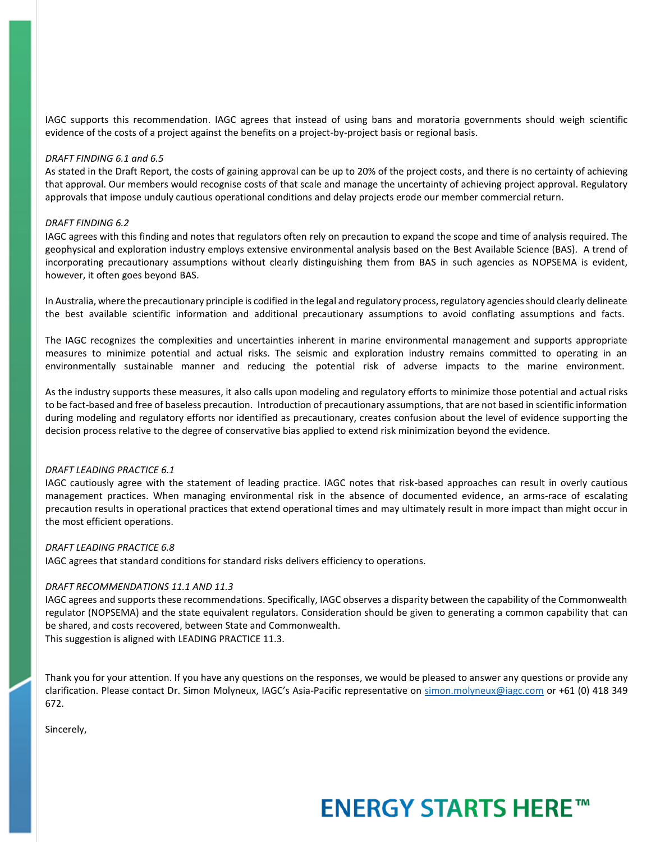IAGC supports this recommendation. IAGC agrees that instead of using bans and moratoria governments should weigh scientific evidence of the costs of a project against the benefits on a project-by-project basis or regional basis.

#### *DRAFT FINDING 6.1 and 6.5*

As stated in the Draft Report, the costs of gaining approval can be up to 20% of the project costs, and there is no certainty of achieving that approval. Our members would recognise costs of that scale and manage the uncertainty of achieving project approval. Regulatory approvals that impose unduly cautious operational conditions and delay projects erode our member commercial return.

#### *DRAFT FINDING 6.2*

IAGC agrees with this finding and notes that regulators often rely on precaution to expand the scope and time of analysis required. The geophysical and exploration industry employs extensive environmental analysis based on the Best Available Science (BAS). A trend of incorporating precautionary assumptions without clearly distinguishing them from BAS in such agencies as NOPSEMA is evident, however, it often goes beyond BAS.

In Australia, where the precautionary principle is codified in the legal and regulatory process, regulatory agencies should clearly delineate the best available scientific information and additional precautionary assumptions to avoid conflating assumptions and facts.

The IAGC recognizes the complexities and uncertainties inherent in marine environmental management and supports appropriate measures to minimize potential and actual risks. The seismic and exploration industry remains committed to operating in an environmentally sustainable manner and reducing the potential risk of adverse impacts to the marine environment.

As the industry supports these measures, it also calls upon modeling and regulatory efforts to minimize those potential and actual risks to be fact-based and free of baseless precaution. Introduction of precautionary assumptions, that are not based in scientific information during modeling and regulatory efforts nor identified as precautionary, creates confusion about the level of evidence supporting the decision process relative to the degree of conservative bias applied to extend risk minimization beyond the evidence.

### *DRAFT LEADING PRACTICE 6.1*

IAGC cautiously agree with the statement of leading practice. IAGC notes that risk-based approaches can result in overly cautious management practices. When managing environmental risk in the absence of documented evidence, an arms-race of escalating precaution results in operational practices that extend operational times and may ultimately result in more impact than might occur in the most efficient operations.

### *DRAFT LEADING PRACTICE 6.8*

IAGC agrees that standard conditions for standard risks delivers efficiency to operations.

### *DRAFT RECOMMENDATIONS 11.1 AND 11.3*

IAGC agrees and supports these recommendations. Specifically, IAGC observes a disparity between the capability of the Commonwealth regulator (NOPSEMA) and the state equivalent regulators. Consideration should be given to generating a common capability that can be shared, and costs recovered, between State and Commonwealth.

This suggestion is aligned with LEADING PRACTICE 11.3.

Thank you for your attention. If you have any questions on the responses, we would be pleased to answer any questions or provide any clarification. Please contact Dr. Simon Molyneux, IAGC's Asia-Pacific representative on [simon.molyneux@iagc.com](mailto:simon.molyneux@iagc.com) or +61 (0) 418 349 672.

Sincerely,

# **ENERGY STARTS HERE™**